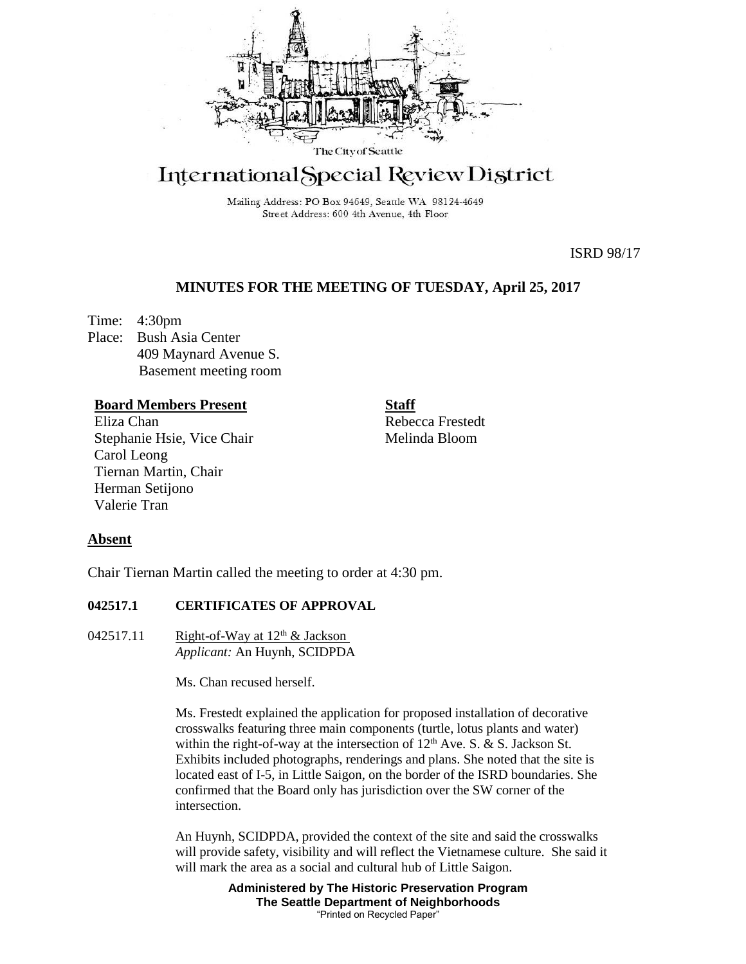

# International Special Review District

Mailing Address: PO Box 94649, Seattle WA 98124-4649 Street Address: 600 4th Avenue, 4th Floor

ISRD 98/17

## **MINUTES FOR THE MEETING OF TUESDAY, April 25, 2017**

Time: 4:30pm Place: Bush Asia Center 409 Maynard Avenue S. Basement meeting room

## **Board Members Present**

Eliza Chan Stephanie Hsie, Vice Chair Carol Leong Tiernan Martin, Chair Herman Setijono Valerie Tran

**Staff**

Rebecca Frestedt Melinda Bloom

## **Absent**

Chair Tiernan Martin called the meeting to order at 4:30 pm.

## **042517.1 CERTIFICATES OF APPROVAL**

042517.11 Right-of-Way at  $12<sup>th</sup> \&$  Jackson *Applicant:* An Huynh, SCIDPDA

Ms. Chan recused herself.

Ms. Frestedt explained the application for proposed installation of decorative crosswalks featuring three main components (turtle, lotus plants and water) within the right-of-way at the intersection of  $12<sup>th</sup>$  Ave. S. & S. Jackson St. Exhibits included photographs, renderings and plans. She noted that the site is located east of I-5, in Little Saigon, on the border of the ISRD boundaries. She confirmed that the Board only has jurisdiction over the SW corner of the intersection.

An Huynh, SCIDPDA, provided the context of the site and said the crosswalks will provide safety, visibility and will reflect the Vietnamese culture. She said it will mark the area as a social and cultural hub of Little Saigon.

> **Administered by The Historic Preservation Program The Seattle Department of Neighborhoods** "Printed on Recycled Paper"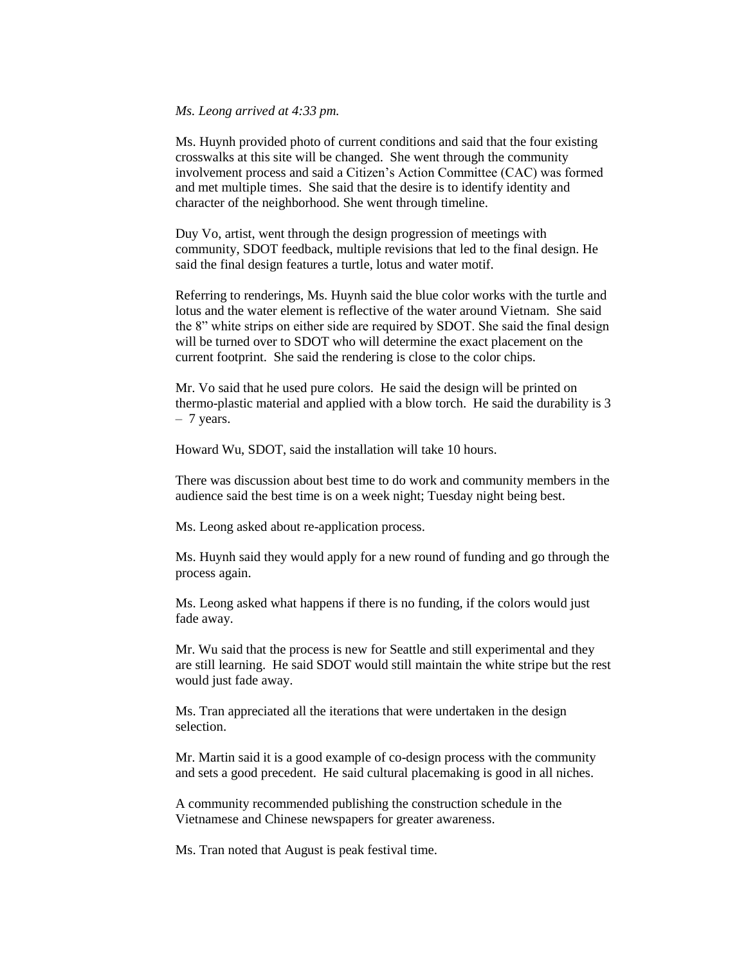#### *Ms. Leong arrived at 4:33 pm.*

Ms. Huynh provided photo of current conditions and said that the four existing crosswalks at this site will be changed. She went through the community involvement process and said a Citizen's Action Committee (CAC) was formed and met multiple times. She said that the desire is to identify identity and character of the neighborhood. She went through timeline.

Duy Vo, artist, went through the design progression of meetings with community, SDOT feedback, multiple revisions that led to the final design. He said the final design features a turtle, lotus and water motif.

Referring to renderings, Ms. Huynh said the blue color works with the turtle and lotus and the water element is reflective of the water around Vietnam. She said the 8" white strips on either side are required by SDOT. She said the final design will be turned over to SDOT who will determine the exact placement on the current footprint. She said the rendering is close to the color chips.

Mr. Vo said that he used pure colors. He said the design will be printed on thermo-plastic material and applied with a blow torch. He said the durability is 3 – 7 years.

Howard Wu, SDOT, said the installation will take 10 hours.

There was discussion about best time to do work and community members in the audience said the best time is on a week night; Tuesday night being best.

Ms. Leong asked about re-application process.

Ms. Huynh said they would apply for a new round of funding and go through the process again.

Ms. Leong asked what happens if there is no funding, if the colors would just fade away.

Mr. Wu said that the process is new for Seattle and still experimental and they are still learning. He said SDOT would still maintain the white stripe but the rest would just fade away.

Ms. Tran appreciated all the iterations that were undertaken in the design selection.

Mr. Martin said it is a good example of co-design process with the community and sets a good precedent. He said cultural placemaking is good in all niches.

A community recommended publishing the construction schedule in the Vietnamese and Chinese newspapers for greater awareness.

Ms. Tran noted that August is peak festival time.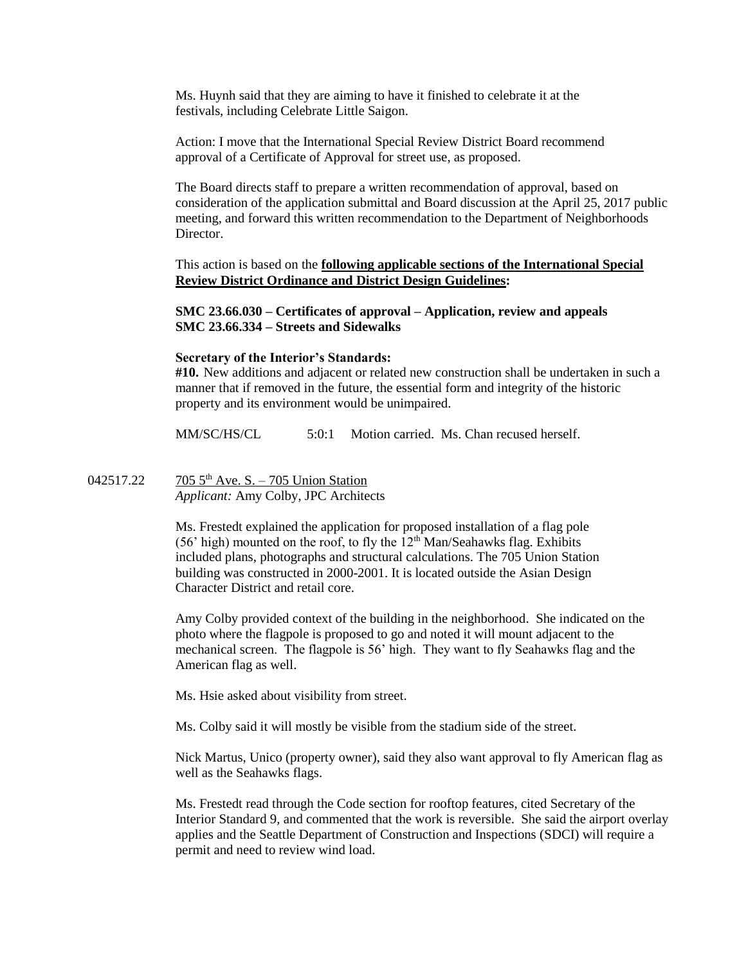Ms. Huynh said that they are aiming to have it finished to celebrate it at the festivals, including Celebrate Little Saigon.

Action: I move that the International Special Review District Board recommend approval of a Certificate of Approval for street use, as proposed.

The Board directs staff to prepare a written recommendation of approval, based on consideration of the application submittal and Board discussion at the April 25, 2017 public meeting, and forward this written recommendation to the Department of Neighborhoods Director.

This action is based on the **following applicable sections of the International Special Review District Ordinance and District Design Guidelines:** 

**SMC 23.66.030 – Certificates of approval – Application, review and appeals SMC 23.66.334 – Streets and Sidewalks**

## **Secretary of the Interior's Standards:**

**#10.** New additions and adjacent or related new construction shall be undertaken in such a manner that if removed in the future, the essential form and integrity of the historic property and its environment would be unimpaired.

MM/SC/HS/CL 5:0:1 Motion carried. Ms. Chan recused herself.

042517.22 705 5<sup>th</sup> Ave. S. – 705 Union Station *Applicant:* Amy Colby, JPC Architects

> Ms. Frestedt explained the application for proposed installation of a flag pole (56' high) mounted on the roof, to fly the  $12<sup>th</sup>$  Man/Seahawks flag. Exhibits included plans, photographs and structural calculations. The 705 Union Station building was constructed in 2000-2001. It is located outside the Asian Design Character District and retail core.

Amy Colby provided context of the building in the neighborhood. She indicated on the photo where the flagpole is proposed to go and noted it will mount adjacent to the mechanical screen. The flagpole is 56' high. They want to fly Seahawks flag and the American flag as well.

Ms. Hsie asked about visibility from street.

Ms. Colby said it will mostly be visible from the stadium side of the street.

Nick Martus, Unico (property owner), said they also want approval to fly American flag as well as the Seahawks flags.

Ms. Frestedt read through the Code section for rooftop features, cited Secretary of the Interior Standard 9, and commented that the work is reversible. She said the airport overlay applies and the Seattle Department of Construction and Inspections (SDCI) will require a permit and need to review wind load.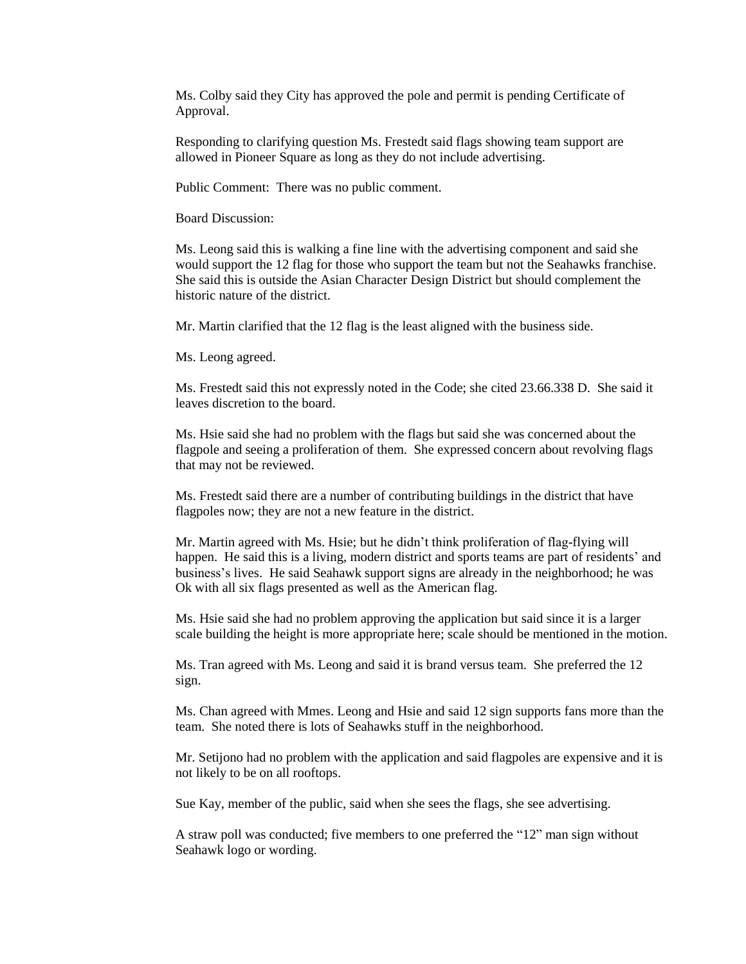Ms. Colby said they City has approved the pole and permit is pending Certificate of Approval.

Responding to clarifying question Ms. Frestedt said flags showing team support are allowed in Pioneer Square as long as they do not include advertising.

Public Comment: There was no public comment.

Board Discussion:

Ms. Leong said this is walking a fine line with the advertising component and said she would support the 12 flag for those who support the team but not the Seahawks franchise. She said this is outside the Asian Character Design District but should complement the historic nature of the district.

Mr. Martin clarified that the 12 flag is the least aligned with the business side.

Ms. Leong agreed.

Ms. Frestedt said this not expressly noted in the Code; she cited 23.66.338 D. She said it leaves discretion to the board.

Ms. Hsie said she had no problem with the flags but said she was concerned about the flagpole and seeing a proliferation of them. She expressed concern about revolving flags that may not be reviewed.

Ms. Frestedt said there are a number of contributing buildings in the district that have flagpoles now; they are not a new feature in the district.

Mr. Martin agreed with Ms. Hsie; but he didn't think proliferation of flag-flying will happen. He said this is a living, modern district and sports teams are part of residents' and business's lives. He said Seahawk support signs are already in the neighborhood; he was Ok with all six flags presented as well as the American flag.

Ms. Hsie said she had no problem approving the application but said since it is a larger scale building the height is more appropriate here; scale should be mentioned in the motion.

Ms. Tran agreed with Ms. Leong and said it is brand versus team. She preferred the 12 sign.

Ms. Chan agreed with Mmes. Leong and Hsie and said 12 sign supports fans more than the team. She noted there is lots of Seahawks stuff in the neighborhood.

Mr. Setijono had no problem with the application and said flagpoles are expensive and it is not likely to be on all rooftops.

Sue Kay, member of the public, said when she sees the flags, she see advertising.

A straw poll was conducted; five members to one preferred the "12" man sign without Seahawk logo or wording.